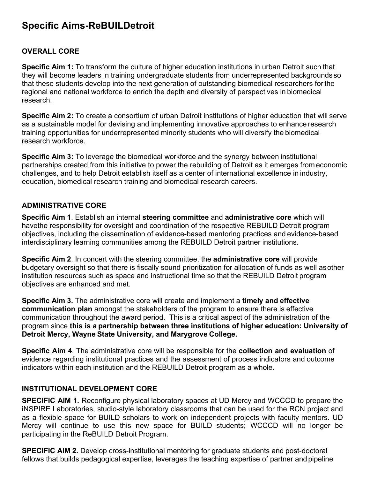# **Specific Aims-ReBUILDetroit**

# **OVERALL CORE**

**Specific Aim 1:** To transform the culture of higher education institutions in urban Detroit such that they will become leaders in training undergraduate students from underrepresented backgrounds so that these students develop into the next generation of outstanding biomedical researchers forthe regional and national workforce to enrich the depth and diversity of perspectives in biomedical research.

**Specific Aim 2:** To create a consortium of urban Detroit institutions of higher education that will serve as a sustainable model for devising and implementing innovative approaches to enhance research training opportunities for underrepresented minority students who will diversify the biomedical research workforce.

**Specific Aim 3:** To leverage the biomedical workforce and the synergy between institutional partnerships created from this initiative to power the rebuilding of Detroit as it emerges from economic challenges, and to help Detroit establish itself as a center of international excellence in industry, education, biomedical research training and biomedical research careers.

### **ADMINISTRATIVE CORE**

**Specific Aim 1**. Establish an internal **steering committee** and **administrative core** which will havethe responsibility for oversight and coordination of the respective REBUILD Detroit program objectives, including the dissemination of evidence-based mentoring practices and evidence-based interdisciplinary learning communities among the REBUILD Detroit partner institutions.

**Specific Aim 2**. In concert with the steering committee, the **administrative core** will provide budgetary oversight so that there is fiscally sound prioritization for allocation of funds as well asother institution resources such as space and instructional time so that the REBUILD Detroit program objectives are enhanced and met.

**Specific Aim 3.** The administrative core will create and implement a **timely and effective communication plan** amongst the stakeholders of the program to ensure there is effective communication throughout the award period. This is a critical aspect of the administration of the program since **this is a partnership between three institutions of higher education: University of Detroit Mercy, Wayne State University, and Marygrove College.**

**Specific Aim 4**. The administrative core will be responsible for the **collection and evaluation** of evidence regarding institutional practices and the assessment of process indicators and outcome indicators within each institution and the REBUILD Detroit program as a whole.

## **INSTITUTIONAL DEVELOPMENT CORE**

**SPECIFIC AIM 1.** Reconfigure physical laboratory spaces at UD Mercy and WCCCD to prepare the iNSPIRE Laboratories, studio-style laboratory classrooms that can be used for the RCN project and as a flexible space for BUILD scholars to work on independent projects with faculty mentors. UD Mercy will continue to use this new space for BUILD students; WCCCD will no longer be participating in the ReBUILD Detroit Program.

**SPECIFIC AIM 2.** Develop cross-institutional mentoring for graduate students and post-doctoral fellows that builds pedagogical expertise, leverages the teaching expertise of partner and pipeline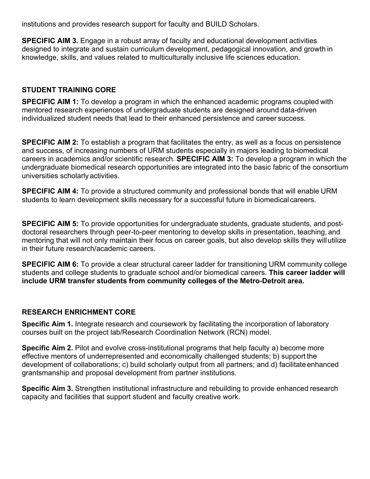institutions and provides research support for faculty and BUILD Scholars.

**SPECIFIC AIM 3.** Engage in a robust array of faculty and educational development activities designed to integrate and sustain curriculum development, pedagogical innovation, and growth in knowledge, skills, and values related to multiculturally inclusive life sciences education.

# **STUDENT TRAINING CORE**

**SPECIFIC AIM 1:** To develop a program in which the enhanced academic programs coupled with mentored research experiences of undergraduate students are designed around data-driven individualized student needs that lead to their enhanced persistence and career success.

**SPECIFIC AIM 2:** To establish a program that facilitates the entry, as well as a focus on persistence and success, of increasing numbers of URM students especially in majors leading to biomedical careers in academics and/or scientific research. **SPECIFIC AIM 3:** To develop a program in which the undergraduate biomedical research opportunities are integrated into the basic fabric of the consortium universities scholarly activities.

**SPECIFIC AIM 4:** To provide a structured community and professional bonds that will enable URM students to learn development skills necessary for a successful future in biomedical careers.

**SPECIFIC AIM 5:** To provide opportunities for undergraduate students, graduate students, and postdoctoral researchers through peer-to-peer mentoring to develop skills in presentation, teaching, and mentoring that will not only maintain their focus on career goals, but also develop skills they willutilize in their future research/academic careers.

**SPECIFIC AIM 6:** To provide a clear structural career ladder for transitioning URM community college students and college students to graduate school and/or biomedical careers. **This career ladder will include URM transfer students from community colleges of the Metro-Detroit area.**

## **RESEARCH ENRICHMENT CORE**

**Specific Aim 1.** Integrate research and coursework by facilitating the incorporation of laboratory courses built on the project lab/Research Coordination Network (RCN) model.

**Specific Aim 2.** Pilot and evolve cross-institutional programs that help faculty a) become more effective mentors of underrepresented and economically challenged students; b) support the development of collaborations; c) build scholarly output from all partners; and d) facilitate enhanced grantsmanship and proposal development from partner institutions.

**Specific Aim 3.** Strengthen institutional infrastructure and rebuilding to provide enhanced research capacity and facilities that support student and faculty creative work.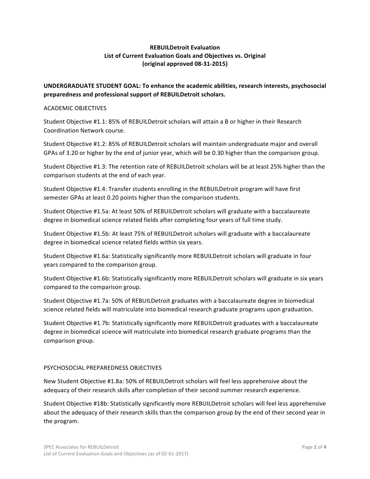#### **REBUILDetroit Evaluation** List of Current Evaluation Goals and Objectives vs. Original **(original approved 08-31-2015)**

UNDERGRADUATE STUDENT GOAL: To enhance the academic abilities, research interests, psychosocial preparedness and professional support of REBUILDetroit scholars.

#### ACADEMIC OBJECTIVES

Student Objective #1.1: 85% of REBUILDetroit scholars will attain a B or higher in their Research Coordination Network course.

Student Objective #1.2: 85% of REBUILDetroit scholars will maintain undergraduate major and overall GPAs of 3.20 or higher by the end of junior year, which will be 0.30 higher than the comparison group.

Student Objective #1.3: The retention rate of REBUILDetroit scholars will be at least 25% higher than the comparison students at the end of each year.

Student Objective #1.4: Transfer students enrolling in the REBUILDetroit program will have first semester GPAs at least 0.20 points higher than the comparison students.

Student Objective #1.5a: At least 50% of REBUILDetroit scholars will graduate with a baccalaureate degree in biomedical science related fields after completing four years of full time study.

Student Objective #1.5b: At least 75% of REBUILDetroit scholars will graduate with a baccalaureate degree in biomedical science related fields within six years.

Student Objective #1.6a: Statistically significantly more REBUILDetroit scholars will graduate in four years compared to the comparison group.

Student Objective #1.6b: Statistically significantly more REBUILDetroit scholars will graduate in six years compared to the comparison group.

Student Objective #1.7a: 50% of REBUILDetroit graduates with a baccalaureate degree in biomedical science related fields will matriculate into biomedical research graduate programs upon graduation.

Student Objective #1.7b: Statistically significantly more REBUILDetroit graduates with a baccalaureate degree in biomedical science will matriculate into biomedical research graduate programs than the comparison group.

#### PSYCHOSOCIAL PREPAREDNESS OBJECTIVES

New Student Objective #1.8a: 50% of REBUILDetroit scholars will feel less apprehensive about the adequacy of their research skills after completion of their second summer research experience.

Student Objective #18b: Statistically significantly more REBUILDetroit scholars will feel less apprehensive about the adequacy of their research skills than the comparison group by the end of their second year in the program.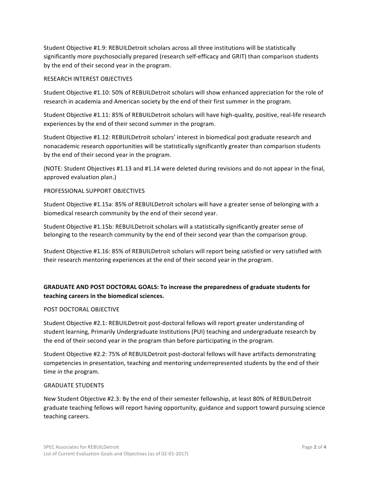Student Objective #1.9: REBUILDetroit scholars across all three institutions will be statistically significantly more psychosocially prepared (research self-efficacy and GRIT) than comparison students by the end of their second year in the program.

#### RESEARCH INTEREST OBJECTIVES

Student Objective #1.10: 50% of REBUILDetroit scholars will show enhanced appreciation for the role of research in academia and American society by the end of their first summer in the program.

Student Objective #1.11: 85% of REBUILDetroit scholars will have high-quality, positive, real-life research experiences by the end of their second summer in the program.

Student Objective #1.12: REBUILDetroit scholars' interest in biomedical post graduate research and nonacademic research opportunities will be statistically significantly greater than comparison students by the end of their second year in the program.

(NOTE: Student Objectives #1.13 and #1.14 were deleted during revisions and do not appear in the final, approved evaluation plan.)

#### PROFESSIONAL SUPPORT OBJECTIVES

Student Objective #1.15a: 85% of REBUILDetroit scholars will have a greater sense of belonging with a biomedical research community by the end of their second year.

Student Objective #1.15b: REBUILDetroit scholars will a statistically significantly greater sense of belonging to the research community by the end of their second year than the comparison group.

Student Objective #1.16: 85% of REBUILDetroit scholars will report being satisfied or very satisfied with their research mentoring experiences at the end of their second year in the program.

### **GRADUATE AND POST DOCTORAL GOALS: To increase the preparedness of graduate students for** teaching careers in the biomedical sciences.

#### POST DOCTORAL OBJECTIVE

Student Objective #2.1: REBUILDetroit post-doctoral fellows will report greater understanding of student learning, Primarily Undergraduate Institutions (PUI) teaching and undergraduate research by the end of their second year in the program than before participating in the program.

Student Objective #2.2: 75% of REBUILDetroit post-doctoral fellows will have artifacts demonstrating competencies in presentation, teaching and mentoring underrepresented students by the end of their time in the program.

#### **GRADUATE STUDENTS**

New Student Objective #2.3: By the end of their semester fellowship, at least 80% of REBUILDetroit graduate teaching fellows will report having opportunity, guidance and support toward pursuing science teaching careers.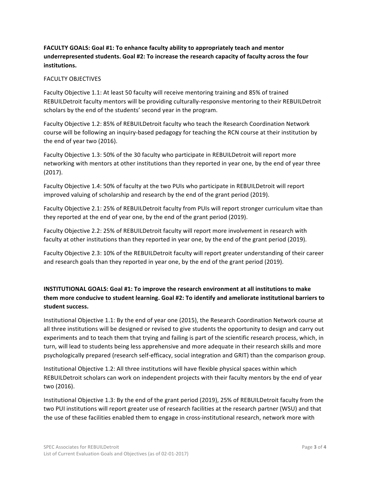### **FACULTY GOALS: Goal #1: To enhance faculty ability to appropriately teach and mentor** underrepresented students. Goal #2: To increase the research capacity of faculty across the four **institutions.**

#### FACULTY OBJECTIVES

Faculty Objective 1.1: At least 50 faculty will receive mentoring training and 85% of trained REBUILDetroit faculty mentors will be providing culturally-responsive mentoring to their REBUILDetroit scholars by the end of the students' second year in the program.

Faculty Objective 1.2: 85% of REBUILDetroit faculty who teach the Research Coordination Network course will be following an inquiry-based pedagogy for teaching the RCN course at their institution by the end of year two (2016).

Faculty Objective 1.3: 50% of the 30 faculty who participate in REBUILDetroit will report more networking with mentors at other institutions than they reported in year one, by the end of year three (2017).

Faculty Objective 1.4: 50% of faculty at the two PUIs who participate in REBUILDetroit will report improved valuing of scholarship and research by the end of the grant period (2019).

Faculty Objective 2.1: 25% of REBUILDetroit faculty from PUIs will report stronger curriculum vitae than they reported at the end of year one, by the end of the grant period (2019).

Faculty Objective 2.2: 25% of REBUILDetroit faculty will report more involvement in research with faculty at other institutions than they reported in year one, by the end of the grant period (2019).

Faculty Objective 2.3: 10% of the REBUILDetroit faculty will report greater understanding of their career and research goals than they reported in year one, by the end of the grant period (2019).

### **INSTITUTIONAL GOALS: Goal #1: To improve the research environment at all institutions to make** them more conducive to student learning. Goal #2: To identify and ameliorate institutional barriers to student success.

Institutional Objective 1.1: By the end of year one (2015), the Research Coordination Network course at all three institutions will be designed or revised to give students the opportunity to design and carry out experiments and to teach them that trying and failing is part of the scientific research process, which, in turn, will lead to students being less apprehensive and more adequate in their research skills and more psychologically prepared (research self-efficacy, social integration and GRIT) than the comparison group.

Institutional Objective 1.2: All three institutions will have flexible physical spaces within which REBUILDetroit scholars can work on independent projects with their faculty mentors by the end of year two (2016).

Institutional Objective 1.3: By the end of the grant period (2019), 25% of REBUILDetroit faculty from the two PUI institutions will report greater use of research facilities at the research partner (WSU) and that the use of these facilities enabled them to engage in cross-institutional research, network more with